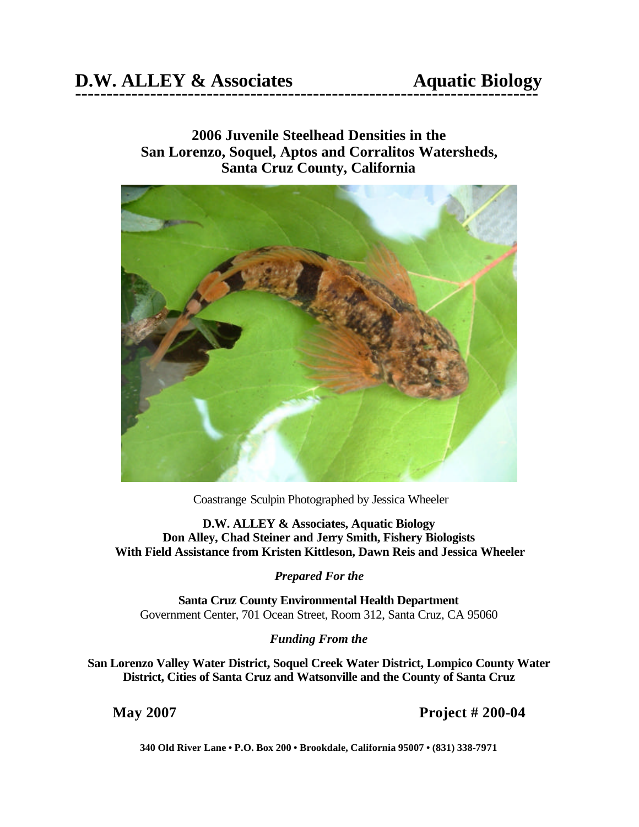## **D.W. ALLEY & Associates Aquatic Biology --------------------------------------------------------------------------**

# **2006 Juvenile Steelhead Densities in the San Lorenzo, Soquel, Aptos and Corralitos Watersheds, Santa Cruz County, California**



Coastrange Sculpin Photographed by Jessica Wheeler

**D.W. ALLEY & Associates, Aquatic Biology Don Alley, Chad Steiner and Jerry Smith, Fishery Biologists With Field Assistance from Kristen Kittleson, Dawn Reis and Jessica Wheeler**

*Prepared For the* 

**Santa Cruz County Environmental Health Department** Government Center, 701 Ocean Street, Room 312, Santa Cruz, CA 95060

### *Funding From the*

**San Lorenzo Valley Water District, Soquel Creek Water District, Lompico County Water District, Cities of Santa Cruz and Watsonville and the County of Santa Cruz**

**May 2007 Project # 200-04**

**340 Old River Lane • P.O. Box 200 • Brookdale, California 95007 • (831) 338-7971**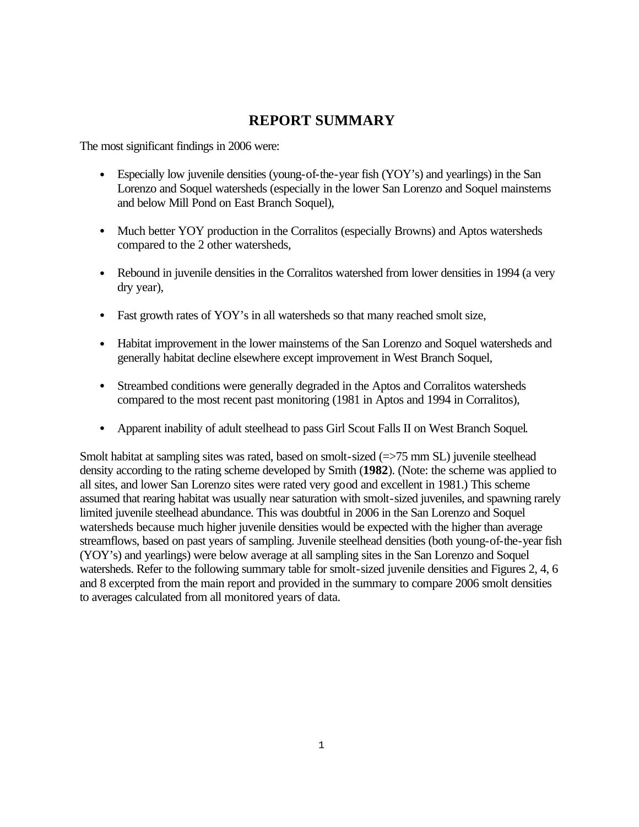## **REPORT SUMMARY**

The most significant findings in 2006 were:

- Especially low juvenile densities (young-of-the-year fish (YOY's) and yearlings) in the San Lorenzo and Soquel watersheds (especially in the lower San Lorenzo and Soquel mainstems and below Mill Pond on East Branch Soquel),
- Much better YOY production in the Corralitos (especially Browns) and Aptos watersheds compared to the 2 other watersheds,
- Rebound in juvenile densities in the Corralitos watershed from lower densities in 1994 (a very dry year),
- Fast growth rates of YOY's in all watersheds so that many reached smolt size,
- Habitat improvement in the lower mainstems of the San Lorenzo and Soquel watersheds and generally habitat decline elsewhere except improvement in West Branch Soquel,
- Streambed conditions were generally degraded in the Aptos and Corralitos watersheds compared to the most recent past monitoring (1981 in Aptos and 1994 in Corralitos),
- Apparent inability of adult steelhead to pass Girl Scout Falls II on West Branch Soquel.

Smolt habitat at sampling sites was rated, based on smolt-sized (=>75 mm SL) juvenile steelhead density according to the rating scheme developed by Smith (**1982**). (Note: the scheme was applied to all sites, and lower San Lorenzo sites were rated very good and excellent in 1981.) This scheme assumed that rearing habitat was usually near saturation with smolt-sized juveniles, and spawning rarely limited juvenile steelhead abundance. This was doubtful in 2006 in the San Lorenzo and Soquel watersheds because much higher juvenile densities would be expected with the higher than average streamflows, based on past years of sampling. Juvenile steelhead densities (both young-of-the-year fish (YOY's) and yearlings) were below average at all sampling sites in the San Lorenzo and Soquel watersheds. Refer to the following summary table for smolt-sized juvenile densities and Figures 2, 4, 6 and 8 excerpted from the main report and provided in the summary to compare 2006 smolt densities to averages calculated from all monitored years of data.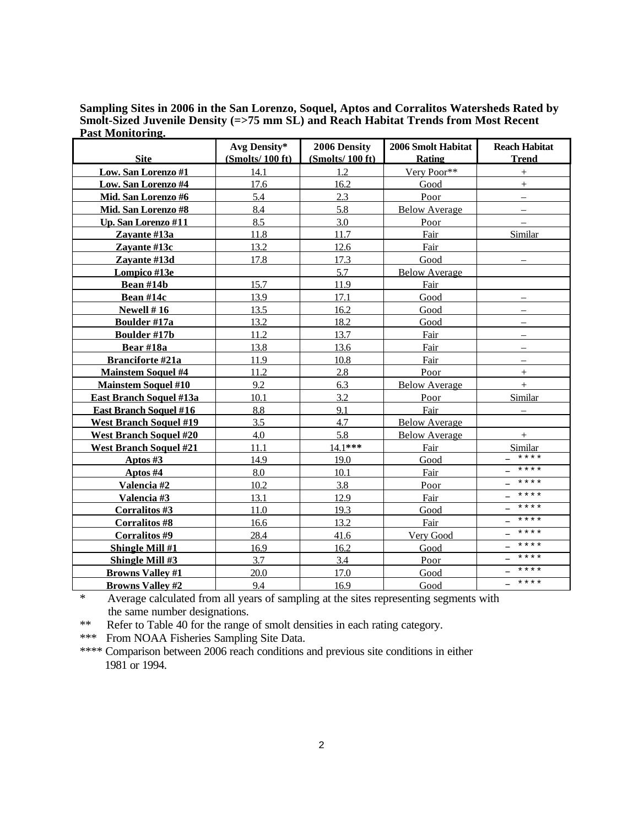**Sampling Sites in 2006 in the San Lorenzo, Soquel, Aptos and Corralitos Watersheds Rated by Smolt-Sized Juvenile Density (=>75 mm SL) and Reach Habitat Trends from Most Recent Past Monitoring.**

| <b>Site</b>                    | Avg Density*<br>(Smolts/100ft) | 2006 Density<br>(Smolts/100 ft) | 2006 Smolt Habitat<br>Rating | <b>Reach Habitat</b><br><b>Trend</b> |
|--------------------------------|--------------------------------|---------------------------------|------------------------------|--------------------------------------|
| Low. San Lorenzo #1            | 14.1                           | 1.2                             | Very Poor**                  | $+$                                  |
| Low. San Lorenzo #4            | 17.6                           | 16.2                            | Good                         | $+$                                  |
| Mid. San Lorenzo #6            | 5.4                            | 2.3                             | Poor                         | $\overline{\phantom{0}}$             |
| Mid. San Lorenzo #8            | 8.4                            | 5.8                             | <b>Below Average</b>         | $\overline{\phantom{0}}$             |
| Up. San Lorenzo #11            | 8.5                            | 3.0                             | Poor                         |                                      |
| Zayante #13a                   | 11.8                           | 11.7                            | Fair                         | Similar                              |
| Zayante #13c                   | 13.2                           | 12.6                            | Fair                         |                                      |
| Zayante #13d                   | 17.8                           | 17.3                            | Good                         |                                      |
| Lompico #13e                   |                                | 5.7                             | <b>Below Average</b>         |                                      |
| Bean #14b                      | 15.7                           | 11.9                            | Fair                         |                                      |
| Bean #14c                      | 13.9                           | 17.1                            | Good                         |                                      |
| Newell $#16$                   | 13.5                           | 16.2                            | Good                         | $\overline{\phantom{0}}$             |
| Boulder #17a                   | 13.2                           | 18.2                            | Good                         | $\overline{\phantom{0}}$             |
| <b>Boulder #17b</b>            | 11.2                           | 13.7                            | Fair                         | $\overline{\phantom{0}}$             |
| Bear #18a                      | 13.8                           | 13.6                            | Fair                         | $\overline{\phantom{a}}$             |
| <b>Branciforte #21a</b>        | 11.9                           | 10.8                            | Fair                         | $\overline{\phantom{0}}$             |
| <b>Mainstem Soquel #4</b>      | 11.2                           | 2.8                             | Poor                         | $+$                                  |
| <b>Mainstem Soquel #10</b>     | 9.2                            | 6.3                             | <b>Below Average</b>         | $+$                                  |
| <b>East Branch Soquel #13a</b> | 10.1                           | 3.2                             | Poor                         | Similar                              |
| <b>East Branch Soquel #16</b>  | 8.8                            | 9.1                             | Fair                         |                                      |
| <b>West Branch Soquel #19</b>  | 3.5                            | 4.7                             | <b>Below Average</b>         |                                      |
| <b>West Branch Soquel #20</b>  | 4.0                            | 5.8                             | <b>Below Average</b>         | $+$                                  |
| <b>West Branch Soquel #21</b>  | 11.1                           | $14.1***$                       | Fair                         | Similar                              |
| Aptos $#3$                     | 14.9                           | 19.0                            | Good                         | ****                                 |
| Aptos #4                       | 8.0                            | 10.1                            | Fair                         | ****                                 |
| Valencia #2                    | 10.2                           | 3.8                             | Poor                         | ****                                 |
| Valencia #3                    | 13.1                           | 12.9                            | Fair                         | ****                                 |
| Corralitos #3                  | 11.0                           | 19.3                            | Good                         | ****                                 |
| Corralitos #8                  | 16.6                           | 13.2                            | Fair                         | $***$ * *                            |
| Corralitos #9                  | 28.4                           | 41.6                            | Very Good                    | ****                                 |
| Shingle Mill #1                | 16.9                           | 16.2                            | Good                         | ****                                 |
| Shingle Mill #3                | 3.7                            | 3.4                             | Poor                         | ****                                 |
| <b>Browns Valley #1</b>        | 20.0                           | 17.0                            | Good                         | ****                                 |
| <b>Browns Valley #2</b>        | 9.4                            | 16.9                            | Good                         | $-$ ****                             |

\* Average calculated from all years of sampling at the sites representing segments with the same number designations.

\*\* Refer to Table 40 for the range of smolt densities in each rating category.<br>\*\*\* From NOAA Fisheries Sampling Site Data.

From NOAA Fisheries Sampling Site Data.

\*\*\*\* Comparison between 2006 reach conditions and previous site conditions in either 1981 or 1994.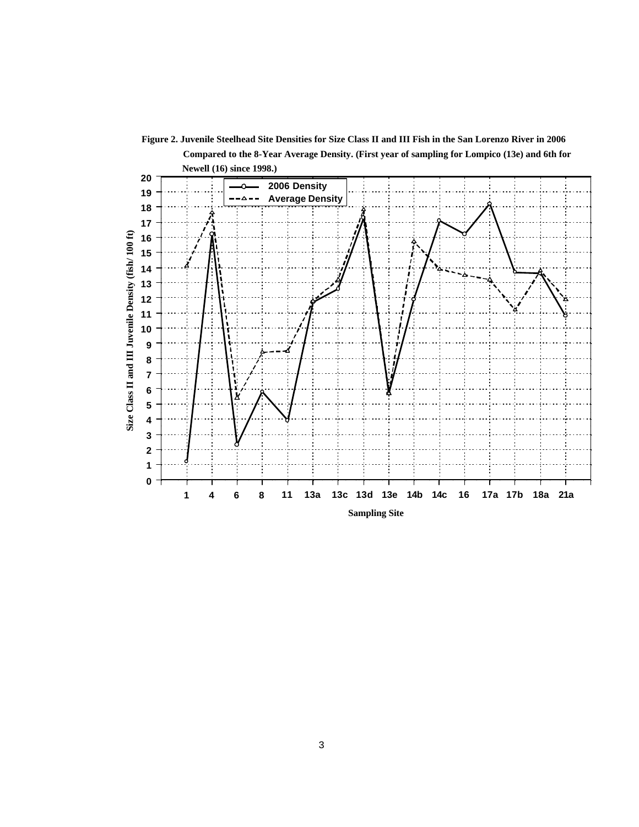

**Figure 2. Juvenile Steelhead Site Densities for Size Class II and III Fish in the San Lorenzo River in 2006 Compared to the 8-Year Average Density. (First year of sampling for Lompico (13e) and 6th for**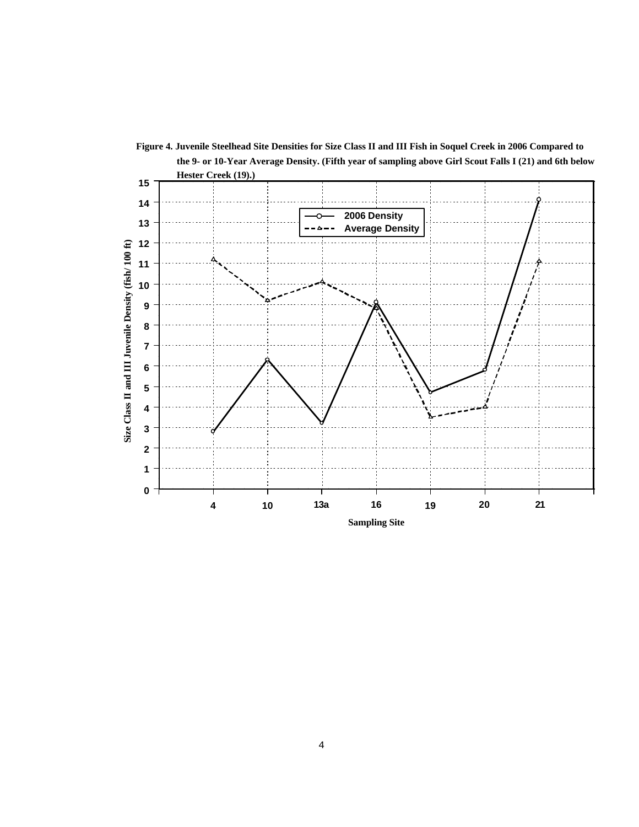

**Figure 4. Juvenile Steelhead Site Densities for Size Class II and III Fish in Soquel Creek in 2006 Compared to the 9- or 10-Year Average Density. (Fifth year of sampling above Girl Scout Falls I (21) and 6th below**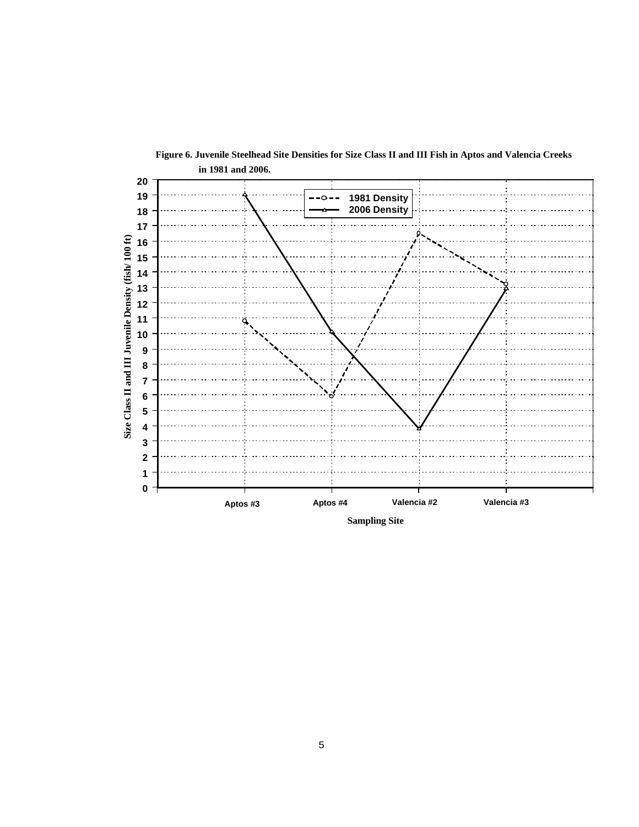

**Figure 6. Juvenile Steelhead Site Densities for Size Class II and III Fish in Aptos and Valencia Creeks**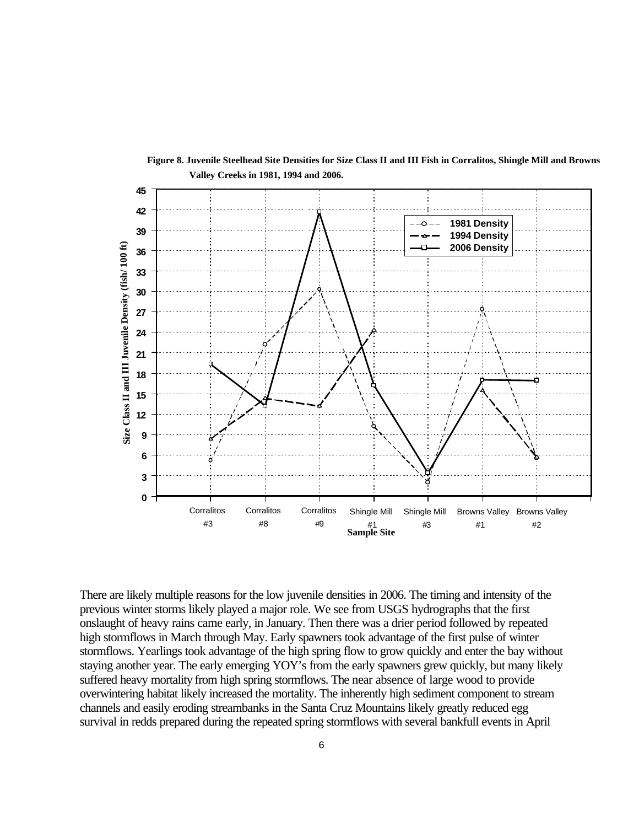

**Figure 8. Juvenile Steelhead Site Densities for Size Class II and III Fish in Corralitos, Shingle Mill and Browns Valley Creeks in 1981, 1994 and 2006.**

There are likely multiple reasons for the low juvenile densities in 2006. The timing and intensity of the previous winter storms likely played a major role. We see from USGS hydrographs that the first onslaught of heavy rains came early, in January. Then there was a drier period followed by repeated high stormflows in March through May. Early spawners took advantage of the first pulse of winter stormflows. Yearlings took advantage of the high spring flow to grow quickly and enter the bay without staying another year. The early emerging YOY's from the early spawners grew quickly, but many likely suffered heavy mortality from high spring stormflows. The near absence of large wood to provide overwintering habitat likely increased the mortality. The inherently high sediment component to stream channels and easily eroding streambanks in the Santa Cruz Mountains likely greatly reduced egg survival in redds prepared during the repeated spring stormflows with several bankfull events in April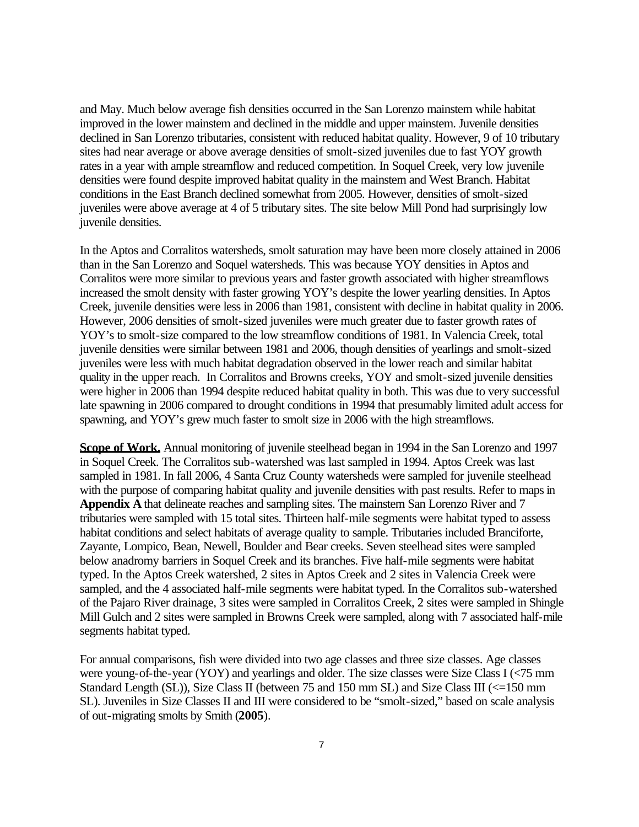and May. Much below average fish densities occurred in the San Lorenzo mainstem while habitat improved in the lower mainstem and declined in the middle and upper mainstem. Juvenile densities declined in San Lorenzo tributaries, consistent with reduced habitat quality. However, 9 of 10 tributary sites had near average or above average densities of smolt-sized juveniles due to fast YOY growth rates in a year with ample streamflow and reduced competition. In Soquel Creek, very low juvenile densities were found despite improved habitat quality in the mainstem and West Branch. Habitat conditions in the East Branch declined somewhat from 2005. However, densities of smolt-sized juveniles were above average at 4 of 5 tributary sites. The site below Mill Pond had surprisingly low juvenile densities.

In the Aptos and Corralitos watersheds, smolt saturation may have been more closely attained in 2006 than in the San Lorenzo and Soquel watersheds. This was because YOY densities in Aptos and Corralitos were more similar to previous years and faster growth associated with higher streamflows increased the smolt density with faster growing YOY's despite the lower yearling densities. In Aptos Creek, juvenile densities were less in 2006 than 1981, consistent with decline in habitat quality in 2006. However, 2006 densities of smolt-sized juveniles were much greater due to faster growth rates of YOY's to smolt-size compared to the low streamflow conditions of 1981. In Valencia Creek, total juvenile densities were similar between 1981 and 2006, though densities of yearlings and smolt-sized juveniles were less with much habitat degradation observed in the lower reach and similar habitat quality in the upper reach. In Corralitos and Browns creeks, YOY and smolt-sized juvenile densities were higher in 2006 than 1994 despite reduced habitat quality in both. This was due to very successful late spawning in 2006 compared to drought conditions in 1994 that presumably limited adult access for spawning, and YOY's grew much faster to smolt size in 2006 with the high streamflows.

**Scope of Work.** Annual monitoring of juvenile steelhead began in 1994 in the San Lorenzo and 1997 in Soquel Creek. The Corralitos sub-watershed was last sampled in 1994. Aptos Creek was last sampled in 1981. In fall 2006, 4 Santa Cruz County watersheds were sampled for juvenile steelhead with the purpose of comparing habitat quality and juvenile densities with past results. Refer to maps in **Appendix A** that delineate reaches and sampling sites. The mainstem San Lorenzo River and 7 tributaries were sampled with 15 total sites. Thirteen half-mile segments were habitat typed to assess habitat conditions and select habitats of average quality to sample. Tributaries included Branciforte, Zayante, Lompico, Bean, Newell, Boulder and Bear creeks. Seven steelhead sites were sampled below anadromy barriers in Soquel Creek and its branches. Five half-mile segments were habitat typed. In the Aptos Creek watershed, 2 sites in Aptos Creek and 2 sites in Valencia Creek were sampled, and the 4 associated half-mile segments were habitat typed. In the Corralitos sub-watershed of the Pajaro River drainage, 3 sites were sampled in Corralitos Creek, 2 sites were sampled in Shingle Mill Gulch and 2 sites were sampled in Browns Creek were sampled, along with 7 associated half-mile segments habitat typed.

For annual comparisons, fish were divided into two age classes and three size classes. Age classes were young-of-the-year (YOY) and yearlings and older. The size classes were Size Class I (<75 mm Standard Length (SL)), Size Class II (between 75 and 150 mm SL) and Size Class III (<=150 mm SL). Juveniles in Size Classes II and III were considered to be "smolt-sized," based on scale analysis of out-migrating smolts by Smith (**2005**).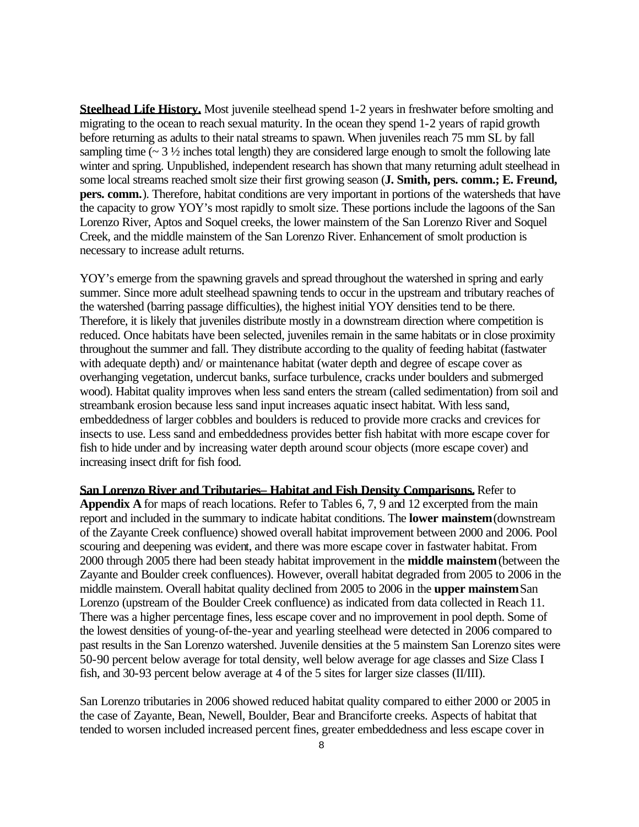**Steelhead Life History.** Most juvenile steelhead spend 1-2 years in freshwater before smolting and migrating to the ocean to reach sexual maturity. In the ocean they spend 1-2 years of rapid growth before returning as adults to their natal streams to spawn. When juveniles reach 75 mm SL by fall sampling time  $\left(\sim 3\frac{1}{2}\right)$  inches total length) they are considered large enough to smolt the following late winter and spring. Unpublished, independent research has shown that many returning adult steelhead in some local streams reached smolt size their first growing season (**J. Smith, pers. comm.; E. Freund, pers. comm.**). Therefore, habitat conditions are very important in portions of the watersheds that have the capacity to grow YOY's most rapidly to smolt size. These portions include the lagoons of the San Lorenzo River, Aptos and Soquel creeks, the lower mainstem of the San Lorenzo River and Soquel Creek, and the middle mainstem of the San Lorenzo River. Enhancement of smolt production is necessary to increase adult returns.

YOY's emerge from the spawning gravels and spread throughout the watershed in spring and early summer. Since more adult steelhead spawning tends to occur in the upstream and tributary reaches of the watershed (barring passage difficulties), the highest initial YOY densities tend to be there. Therefore, it is likely that juveniles distribute mostly in a downstream direction where competition is reduced. Once habitats have been selected, juveniles remain in the same habitats or in close proximity throughout the summer and fall. They distribute according to the quality of feeding habitat (fastwater with adequate depth) and/ or maintenance habitat (water depth and degree of escape cover as overhanging vegetation, undercut banks, surface turbulence, cracks under boulders and submerged wood). Habitat quality improves when less sand enters the stream (called sedimentation) from soil and streambank erosion because less sand input increases aquatic insect habitat. With less sand, embeddedness of larger cobbles and boulders is reduced to provide more cracks and crevices for insects to use. Less sand and embeddedness provides better fish habitat with more escape cover for fish to hide under and by increasing water depth around scour objects (more escape cover) and increasing insect drift for fish food.

**San Lorenzo River and Tributaries– Habitat and Fish Density Comparisons.** Refer to **Appendix A** for maps of reach locations. Refer to Tables 6, 7, 9 and 12 excerpted from the main report and included in the summary to indicate habitat conditions. The **lower mainstem** (downstream of the Zayante Creek confluence) showed overall habitat improvement between 2000 and 2006. Pool scouring and deepening was evident, and there was more escape cover in fastwater habitat. From 2000 through 2005 there had been steady habitat improvement in the **middle mainstem** (between the Zayante and Boulder creek confluences). However, overall habitat degraded from 2005 to 2006 in the middle mainstem. Overall habitat quality declined from 2005 to 2006 in the **upper mainstem** San Lorenzo (upstream of the Boulder Creek confluence) as indicated from data collected in Reach 11. There was a higher percentage fines, less escape cover and no improvement in pool depth. Some of the lowest densities of young-of-the-year and yearling steelhead were detected in 2006 compared to past results in the San Lorenzo watershed. Juvenile densities at the 5 mainstem San Lorenzo sites were 50-90 percent below average for total density, well below average for age classes and Size Class I fish, and 30-93 percent below average at 4 of the 5 sites for larger size classes (II/III).

San Lorenzo tributaries in 2006 showed reduced habitat quality compared to either 2000 or 2005 in the case of Zayante, Bean, Newell, Boulder, Bear and Branciforte creeks. Aspects of habitat that tended to worsen included increased percent fines, greater embeddedness and less escape cover in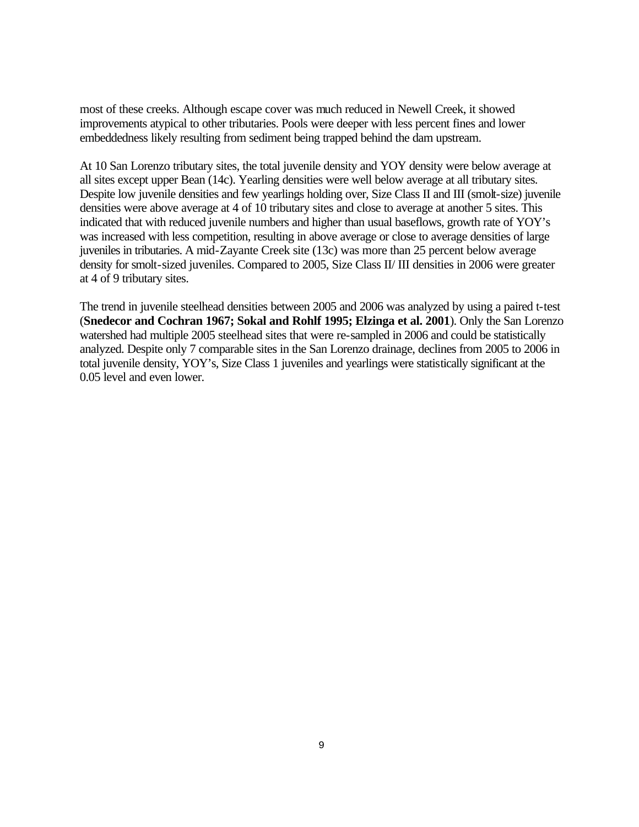most of these creeks. Although escape cover was much reduced in Newell Creek, it showed improvements atypical to other tributaries. Pools were deeper with less percent fines and lower embeddedness likely resulting from sediment being trapped behind the dam upstream.

At 10 San Lorenzo tributary sites, the total juvenile density and YOY density were below average at all sites except upper Bean (14c). Yearling densities were well below average at all tributary sites. Despite low juvenile densities and few yearlings holding over, Size Class II and III (smolt-size) juvenile densities were above average at 4 of 10 tributary sites and close to average at another 5 sites. This indicated that with reduced juvenile numbers and higher than usual baseflows, growth rate of YOY's was increased with less competition, resulting in above average or close to average densities of large juveniles in tributaries. A mid-Zayante Creek site (13c) was more than 25 percent below average density for smolt-sized juveniles. Compared to 2005, Size Class II/ III densities in 2006 were greater at 4 of 9 tributary sites.

The trend in juvenile steelhead densities between 2005 and 2006 was analyzed by using a paired t-test (**Snedecor and Cochran 1967; Sokal and Rohlf 1995; Elzinga et al. 2001**). Only the San Lorenzo watershed had multiple 2005 steelhead sites that were re-sampled in 2006 and could be statistically analyzed. Despite only 7 comparable sites in the San Lorenzo drainage, declines from 2005 to 2006 in total juvenile density, YOY's, Size Class 1 juveniles and yearlings were statistically significant at the 0.05 level and even lower.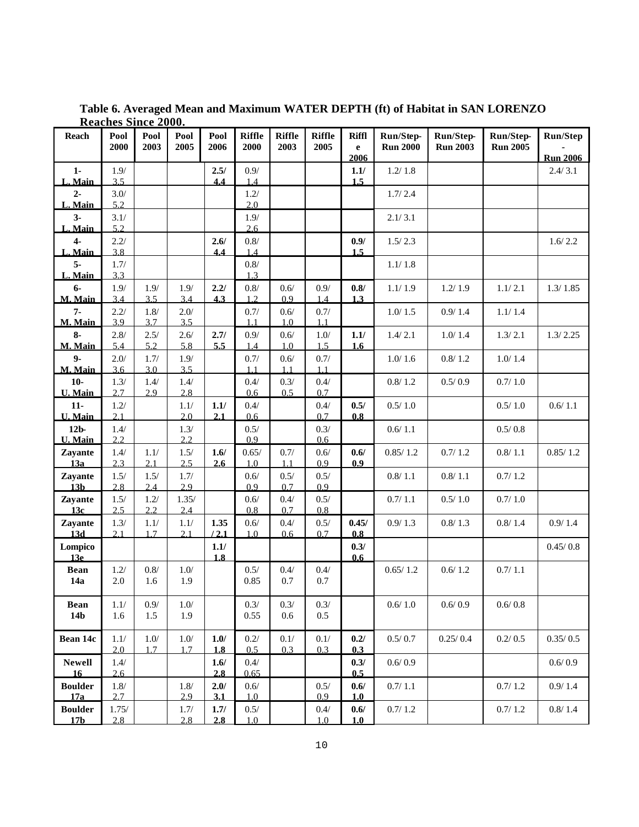| Reach                      | Pool<br>2000 | Pool<br>2003 | vv.<br>Pool<br>2005 | Pool<br>2006 | <b>Riffle</b><br>2000 | <b>Riffle</b><br>2003 | <b>Riffle</b><br>2005 | <b>Riffl</b><br>$\mathbf{e}$ | Run/Step-<br><b>Run 2000</b> | Run/Step-<br><b>Run 2003</b> | Run/Step-<br><b>Run 2005</b> | <b>Run/Step</b> |
|----------------------------|--------------|--------------|---------------------|--------------|-----------------------|-----------------------|-----------------------|------------------------------|------------------------------|------------------------------|------------------------------|-----------------|
|                            |              |              |                     |              |                       |                       |                       | 2006                         |                              |                              |                              | <b>Run 2006</b> |
| $1 -$                      | $1.9/$       |              |                     | 2.5/         | 0.9/<br>1.4           |                       |                       | 1.1/                         | 1.2/1.8                      |                              |                              | 2.4/3.1         |
| L. Main<br>$2-$            | 3.5<br>3.0/  |              |                     | 4.4          | 1.2/                  |                       |                       | 1.5                          | 1.7/2.4                      |                              |                              |                 |
| L. Main                    | 5.2          |              |                     |              | 2.0                   |                       |                       |                              |                              |                              |                              |                 |
| $3-$<br>L. Main            | 3.1/<br>5.2  |              |                     |              | 1.9/<br>2.6           |                       |                       |                              | 2.1/3.1                      |                              |                              |                 |
| $4-$                       | 2.2/         |              |                     | 2.6/         | 0.8/                  |                       |                       | 0.9/                         | 1.5/2.3                      |                              |                              | 1.6/2.2         |
| L. Main                    | 3.8          |              |                     | 4.4          | 1.4                   |                       |                       | 1.5                          |                              |                              |                              |                 |
| $5 -$<br>L. Main           | 1.7/<br>3.3  |              |                     |              | $0.8/$<br>1.3         |                       |                       |                              | 1.1/1.8                      |                              |                              |                 |
| $6-$                       | 1.9/         | 1.9/         | $1.9/$              | 2.2/         | $0.8/$                | 0.6/                  | 0.9/                  | 0.8/                         | 1.1/1.9                      | 1.2/1.9                      | 1.1/2.1                      | 1.3/1.85        |
| M. Main                    | 3.4          | 3.5          | 3.4                 | 4.3          | 1.2                   | 0.9                   | 1.4                   | 1.3                          |                              |                              |                              |                 |
| $7-$<br>M. Main            | 2.2/<br>3.9  | 1.8/<br>3.7  | 2.0/<br>3.5         |              | 0.7/<br>1.1           | 0.6/<br>1.0           | 0.7/<br>1.1           |                              | 1.0/1.5                      | 0.9/1.4                      | 1.1/1.4                      |                 |
| $8-$                       | 2.8/         | 2.5/         | 2.6/                | 2.7/         | 0.9/                  | 0.6/                  | $1.0/$                | $1.1/$                       | 1.4/2.1                      | 1.0/1.4                      | 1.3/2.1                      | 1.3/2.25        |
| M. Main                    | 5.4          | 5.2          | 5.8                 | 5.5          | 1.4                   | 1.0                   | 1.5                   | 1.6                          |                              |                              |                              |                 |
| $9 -$<br>M. Main           | 2.0/<br>3.6  | 1.7/<br>3.0  | $1.9/$<br>3.5       |              | 0.7/<br>11            | 0.6/<br>1.1           | 0.7/<br>1.1           |                              | 1.0/1.6                      | 0.8/1.2                      | 1.0/1.4                      |                 |
| $10-$                      | 1.3/         | 1.4/         | $1.4/$              |              | 0.4/                  | 0.3/                  | $0.4/$                |                              | 0.8/1.2                      | 0.5/0.9                      | 0.7/1.0                      |                 |
| U. Main                    | 2.7          | 2.9          | 2.8                 |              | 0.6                   | 0.5                   | 0.7                   |                              |                              |                              |                              |                 |
| $11-$<br>U. Main           | 1.2/<br>2.1  |              | 1.1/<br>2.0         | 1.1/<br>2.1  | 0.4/<br>0.6           |                       | 0.4/<br>0.7           | 0.5/<br>0.8                  | 0.5/1.0                      |                              | 0.5/1.0                      | 0.6/1.1         |
| 12 <sub>b</sub>            | 1.4/         |              | 1.3/                |              | 0.5/                  |                       | 0.3/                  |                              | 0.6/1.1                      |                              | 0.5/0.8                      |                 |
| U. Main<br>Zayante         | 2.2<br>1.4/  | 1.1/         | 2.2<br>1.5/         | 1.6/         | 0.9<br>0.65/          | 0.7/                  | 0.6<br>0.6/           | 0.6/                         | 0.85/1.2                     | 0.7/1.2                      | 0.8/1.1                      | 0.85/1.2        |
| 13a                        | 2.3          | 2.1          | 2.5                 | 2.6          | 1.0                   | 1 <sub>1</sub>        | 0.9                   | 0.9                          |                              |                              |                              |                 |
| Zayante                    | $1.5/$       | 1.5/         | 1.7/                |              | 0.6/                  | 0.5/                  | 0.5/                  |                              | 0.8/1.1                      | 0.8/1.1                      | 0.7/1.2                      |                 |
| 13 <sub>b</sub><br>Zayante | 2.8<br>1.5/  | 2.4<br>1.2/  | 2.9<br>1.35/        |              | 0.9<br>0.6/           | 0.7<br>0.4/           | 0.9<br>0.5/           |                              | 0.7/1.1                      | 0.5/1.0                      | 0.7/1.0                      |                 |
| 13c                        | 2.5          | 2.2          | 2.4                 |              | 0.8                   | 0.7                   | 0.8                   |                              |                              |                              |                              |                 |
| Zayante                    | 1.3/         | 1.1/         | $1.1/$              | 1.35         | 0.6/                  | 0.4/                  | 0.5/                  | 0.45/                        | 0.9/1.3                      | 0.8/1.3                      | 0.8/1.4                      | 0.9/1.4         |
| 13d<br>Lompico             | 2.1          | 1.7          | 2.1                 | 12.1<br>1.1/ | 1.0                   | 0.6                   | 0.7                   | 0.8<br>0.3/                  |                              |                              |                              | 0.45/0.8        |
| 13e                        |              |              |                     | 1.8          |                       |                       |                       | 0.6                          |                              |                              |                              |                 |
| <b>Bean</b><br>14a         | 1.2/<br>2.0  | $0.8/$       | $1.0/$              |              | 0.5/                  | $0.4/$                | 0.4/                  |                              | 0.65/1.2                     | 0.6/1.2                      | 0.7/1.1                      |                 |
|                            |              | 1.6          | 1.9                 |              | 0.85                  | 0.7                   | 0.7                   |                              |                              |                              |                              |                 |
| <b>Bean</b>                | 1.1/         | 0.9/         | 1.0/                |              | 0.3/                  | 0.3/                  | 0.3/                  |                              | 0.6/1.0                      | 0.6/0.9                      | 0.6/0.8                      |                 |
| 14 <sub>b</sub>            | 1.6          | 1.5          | 1.9                 |              | 0.55                  | 0.6                   | 0.5                   |                              |                              |                              |                              |                 |
| Bean 14c                   | 1.1/         | 1.0/         | 1.0/                | $1.0/$       | 0.2/                  | 0.1/                  | 0.1/                  | 0.2/                         | 0.5/0.7                      | 0.25/0.4                     | 0.2 / 0.5                    | 0.35/0.5        |
| <b>Newell</b>              | 2.0          | 1.7          | 1.7                 | 1.8          | 0.5<br>0.4/           | 0.3                   | 0.3                   | 0.3                          | 0.6/0.9                      |                              |                              |                 |
| 16                         | 1.4/<br>2.6  |              |                     | 1.6/<br>2.8  | 0.65                  |                       |                       | 0.3/<br>0.5                  |                              |                              |                              | 0.6/0.9         |
| <b>Boulder</b>             | $1.8/$       |              | 1.8/                | 2.0/         | 0.6/                  |                       | 0.5/                  | 0.6/                         | 0.7/1.1                      |                              | 0.7/1.2                      | 0.9/1.4         |
| 17a<br><b>Boulder</b>      | 2.7<br>1.75/ |              | 2.9<br>1.7/         | 3.1<br>1.7/  | 1.0<br>0.5/           |                       | 0.9<br>0.4/           | 1.0<br>0.6/                  | 0.7/1.2                      |                              | 0.7/1.2                      | 0.8/1.4         |
| 17 <sub>b</sub>            | 2.8          |              | 2.8                 | 2.8          | 1.0                   |                       | 1.0                   | 1.0                          |                              |                              |                              |                 |

**Table 6. Averaged Mean and Maximum WATER DEPTH (ft) of Habitat in SAN LORENZO Reaches Since 2000.**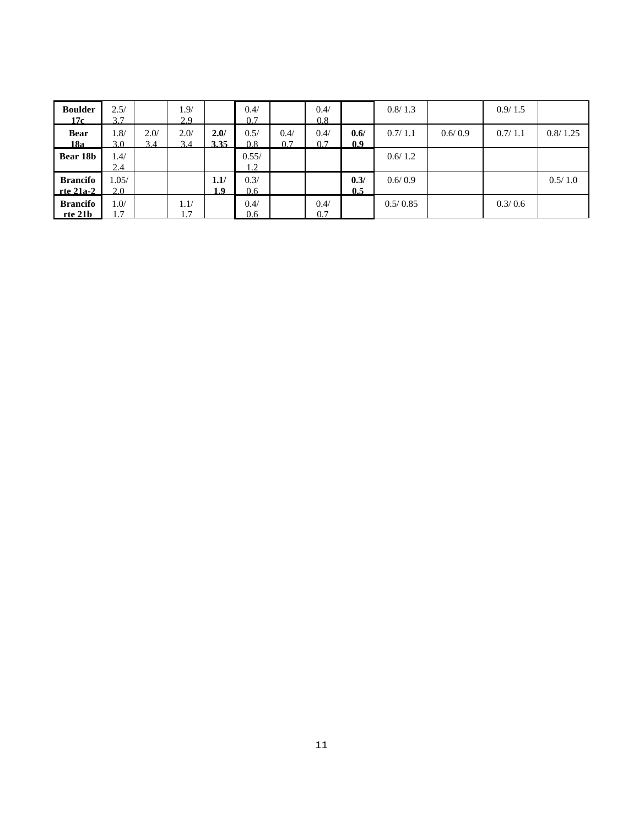| <b>Boulder</b><br>17c          | 2.5/<br>3.7           |             | 1.9/<br>2.9 |              | 0.4/<br>0.7       |             | 0.4/<br>0.8 |             | 0.8/1.3  |         | 0.9/1.5 |          |
|--------------------------------|-----------------------|-------------|-------------|--------------|-------------------|-------------|-------------|-------------|----------|---------|---------|----------|
| <b>Bear</b><br>18a             | 1.8/<br>3.0           | 2.0/<br>3.4 | 2.0/<br>3.4 | 2.0/<br>3.35 | 0.5/<br>0.8       | 0.4/<br>0.7 | 0.4/<br>0.7 | 0.6/<br>0.9 | 0.7/1.1  | 0.6/0.9 | 0.7/1.1 | 0.8/1.25 |
| Bear 18b                       | 1.4/<br>2.4           |             |             |              | 0.55/<br>$\gamma$ |             |             |             | 0.6/1.2  |         |         |          |
| <b>Brancifo</b><br>rte $21a-2$ | 1.05/<br>2.0          |             |             | 1.1/<br>1.9  | 0.3/<br>0.6       |             |             | 0.3/<br>0.5 | 0.6/0.9  |         |         | 0.5/1.0  |
| <b>Brancifo</b><br>rte 21b     | 1.0/<br>$\mathcal{L}$ |             | 1.1/<br>-7  |              | 0.4/<br>0.6       |             | 0.4/<br>0.7 |             | 0.5/0.85 |         | 0.3/0.6 |          |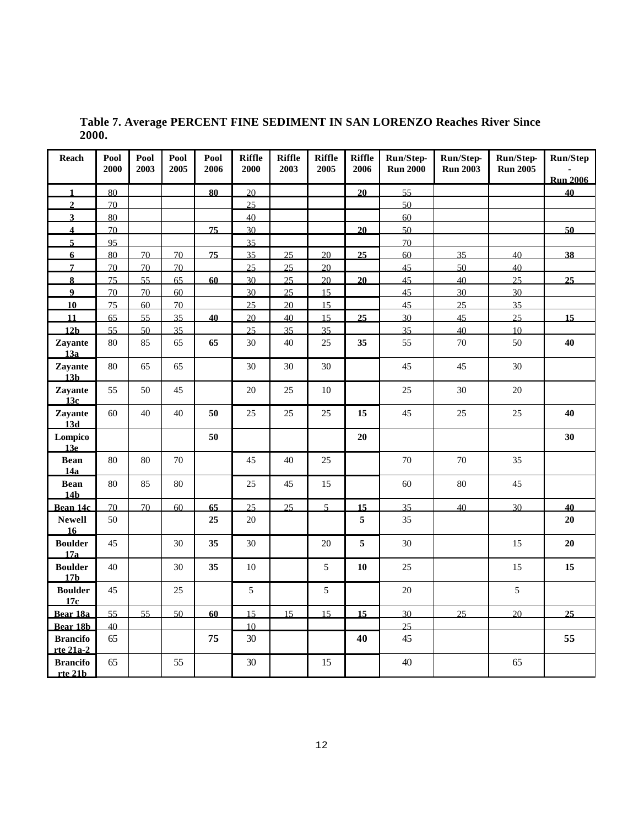|       | Table 7. Average PERCENT FINE SEDIMENT IN SAN LORENZO Reaches River Since |  |  |
|-------|---------------------------------------------------------------------------|--|--|
| 2000. |                                                                           |  |  |

| Reach                          | Pool<br>2000 | Pool<br>2003 | Pool<br>2005 | Pool<br>2006 | <b>Riffle</b><br>2000 | <b>Riffle</b><br>2003 | <b>Riffle</b><br>2005 | <b>Riffle</b><br>2006 | Run/Step-<br><b>Run 2000</b> | Run/Step-<br><b>Run 2003</b> | Run/Step-<br><b>Run 2005</b> | Run/Step        |
|--------------------------------|--------------|--------------|--------------|--------------|-----------------------|-----------------------|-----------------------|-----------------------|------------------------------|------------------------------|------------------------------|-----------------|
|                                |              |              |              |              |                       |                       |                       |                       |                              |                              |                              | <b>Run 2006</b> |
| $\mathbf{1}$                   | 80           |              |              | 80           | 20                    |                       |                       | 20                    | 55                           |                              |                              | 40              |
| $\overline{2}$                 | 70           |              |              |              | 25                    |                       |                       |                       | 50                           |                              |                              |                 |
| 3                              | 80           |              |              |              | 40                    |                       |                       |                       | 60                           |                              |                              |                 |
| $\overline{4}$                 | 70           |              |              | 75           | 30 <sup>2</sup>       |                       |                       | 20                    | 50                           |                              |                              | 50              |
| 5                              | 95           |              |              |              | 35                    |                       |                       |                       | 70                           |                              |                              |                 |
| 6                              | 80           | 70           | 70           | 75           | 35                    | 25                    | 20                    | 25                    | 60                           | 35                           | 40                           | 38              |
| $\overline{7}$                 | 70           | 70           | 70           |              | 25                    | 25                    | 20                    |                       | 45                           | 50                           | 40                           |                 |
| 8                              | 75           | 55           | 65           | 60           | 30                    | 25                    | 20                    | 20                    | 45                           | 40                           | 25                           | 25              |
| $\overline{9}$                 | 70           | 70           | 60           |              | 30                    | 25                    | 15                    |                       | 45                           | 30                           | 30                           |                 |
| 10                             | 75           | 60           | 70           |              | 25                    | 20                    | 15                    |                       | 45                           | 25                           | 35                           |                 |
| $\overline{11}$                | 65           | 55           | 35           | 40           | 20                    | 40                    | 15                    | 25                    | 30                           | 45                           | 25                           | 15              |
| 12 <sub>b</sub>                | 55           | 50           | 35           |              | 25                    | 35                    | 35                    |                       | 35                           | 40                           | 10                           |                 |
| Zayante<br>13a                 | $80\,$       | 85           | 65           | 65           | 30                    | 40                    | 25                    | 35                    | 55                           | $70\,$                       | 50                           | 40              |
| Zayante<br>13 <sub>b</sub>     | 80           | 65           | 65           |              | 30                    | 30                    | 30                    |                       | 45                           | 45                           | 30                           |                 |
| Zayante<br>13c                 | 55           | 50           | 45           |              | 20                    | 25                    | 10                    |                       | 25                           | 30                           | 20                           |                 |
| Zayante<br>13d                 | 60           | 40           | 40           | 50           | 25                    | 25                    | $25\,$                | 15                    | 45                           | $25\,$                       | $25\,$                       | 40              |
| Lompico<br>13 <sub>e</sub>     |              |              |              | 50           |                       |                       |                       | 20                    |                              |                              |                              | 30              |
| <b>Bean</b><br>14a             | 80           | 80           | 70           |              | 45                    | 40                    | 25                    |                       | 70                           | 70                           | 35                           |                 |
| <b>Bean</b><br>14 <sub>b</sub> | 80           | 85           | 80           |              | 25                    | 45                    | 15                    |                       | 60                           | 80                           | 45                           |                 |
| Bean 14c                       | 70           | 70           | 60           | 65           | 25                    | 25                    | 5 <sup>1</sup>        | 15                    | 35                           | 40                           | 30                           | 40              |
| <b>Newell</b>                  | 50           |              |              | 25           | 20                    |                       |                       | 5                     | 35                           |                              |                              | 20              |
| 16<br><b>Boulder</b>           | 45           |              | 30           | 35           | 30                    |                       | 20                    | 5                     | 30                           |                              | 15                           | 20              |
| 17a<br><b>Boulder</b>          | 40           |              | 30           | 35           | 10                    |                       | 5                     | 10                    | 25                           |                              | 15                           | 15              |
| 17 <sub>b</sub>                |              |              |              |              |                       |                       |                       |                       |                              |                              |                              |                 |
| <b>Boulder</b><br>17c          | 45           |              | $25\,$       |              | 5                     |                       | 5                     |                       | $20\,$                       |                              | 5                            |                 |
| Bear 18a                       | 55           | 55           | 50           | 60           | 15                    | 15                    | 15                    | 15                    | 30                           | 25                           | 20                           | 25              |
| Bear 18b                       | 40           |              |              |              | 10                    |                       |                       |                       | 25                           |                              |                              |                 |
| <b>Brancifo</b><br>rte 21a-2   | 65           |              |              | 75           | 30                    |                       |                       | 40                    | 45                           |                              |                              | 55              |
| <b>Brancifo</b><br>rte 21b     | 65           |              | 55           |              | 30                    |                       | 15                    |                       | 40                           |                              | 65                           |                 |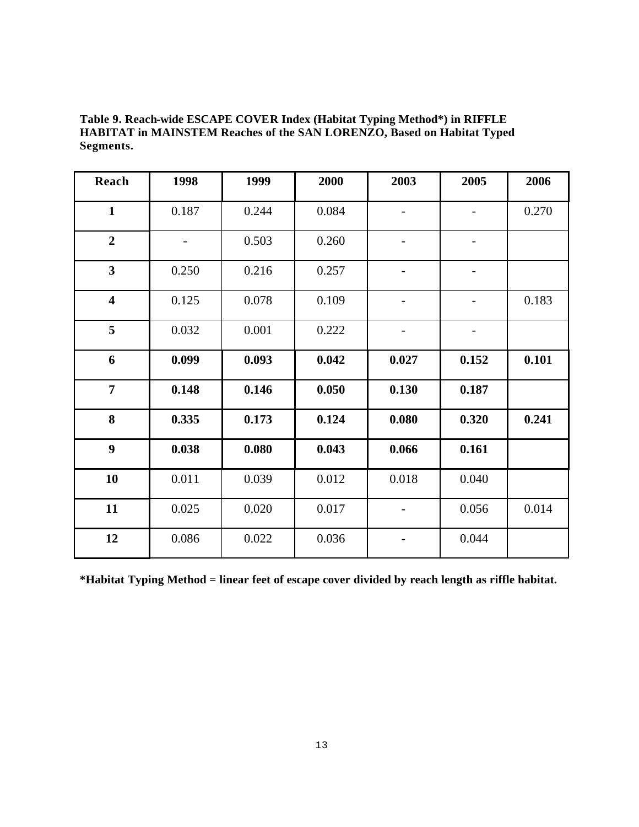**Table 9. Reach-wide ESCAPE COVER Index (Habitat Typing Method\*) in RIFFLE HABITAT in MAINSTEM Reaches of the SAN LORENZO, Based on Habitat Typed Segments.**

| Reach                   | 1998  | 1999  | 2000  | 2003  | 2005  | 2006  |
|-------------------------|-------|-------|-------|-------|-------|-------|
| $\mathbf{1}$            | 0.187 | 0.244 | 0.084 |       | -     | 0.270 |
| $\overline{2}$          |       | 0.503 | 0.260 |       |       |       |
| $\overline{\mathbf{3}}$ | 0.250 | 0.216 | 0.257 |       |       |       |
| $\overline{\mathbf{4}}$ | 0.125 | 0.078 | 0.109 |       |       | 0.183 |
| 5                       | 0.032 | 0.001 | 0.222 |       |       |       |
| 6                       | 0.099 | 0.093 | 0.042 | 0.027 | 0.152 | 0.101 |
| $\overline{7}$          | 0.148 | 0.146 | 0.050 | 0.130 | 0.187 |       |
| 8                       | 0.335 | 0.173 | 0.124 | 0.080 | 0.320 | 0.241 |
| 9                       | 0.038 | 0.080 | 0.043 | 0.066 | 0.161 |       |
| 10                      | 0.011 | 0.039 | 0.012 | 0.018 | 0.040 |       |
| 11                      | 0.025 | 0.020 | 0.017 |       | 0.056 | 0.014 |
| 12                      | 0.086 | 0.022 | 0.036 |       | 0.044 |       |

**\*Habitat Typing Method = linear feet of escape cover divided by reach length as riffle habitat.**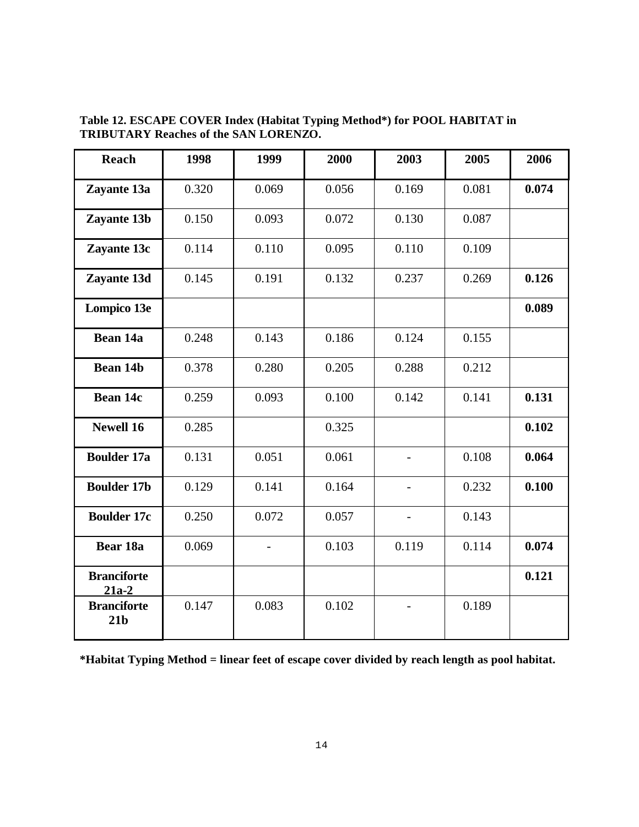| <b>Reach</b>                          | 1998  | 1999  | 2000  | 2003                     | 2005  | 2006  |
|---------------------------------------|-------|-------|-------|--------------------------|-------|-------|
| Zayante 13a                           | 0.320 | 0.069 | 0.056 | 0.169                    | 0.081 | 0.074 |
| Zayante 13b                           | 0.150 | 0.093 | 0.072 | 0.130                    | 0.087 |       |
| Zayante 13c                           | 0.114 | 0.110 | 0.095 | 0.110                    | 0.109 |       |
| Zayante 13d                           | 0.145 | 0.191 | 0.132 | 0.237                    | 0.269 | 0.126 |
| Lompico 13e                           |       |       |       |                          |       | 0.089 |
| Bean 14a                              | 0.248 | 0.143 | 0.186 | 0.124                    | 0.155 |       |
| <b>Bean 14b</b>                       | 0.378 | 0.280 | 0.205 | 0.288                    | 0.212 |       |
| Bean 14c                              | 0.259 | 0.093 | 0.100 | 0.142                    | 0.141 | 0.131 |
| <b>Newell 16</b>                      | 0.285 |       | 0.325 |                          |       | 0.102 |
| <b>Boulder 17a</b>                    | 0.131 | 0.051 | 0.061 |                          | 0.108 | 0.064 |
| <b>Boulder 17b</b>                    | 0.129 | 0.141 | 0.164 |                          | 0.232 | 0.100 |
| <b>Boulder 17c</b>                    | 0.250 | 0.072 | 0.057 | $\overline{\phantom{a}}$ | 0.143 |       |
| Bear 18a                              | 0.069 |       | 0.103 | 0.119                    | 0.114 | 0.074 |
| <b>Branciforte</b><br>$21a-2$         |       |       |       |                          |       | 0.121 |
| <b>Branciforte</b><br>21 <sub>b</sub> | 0.147 | 0.083 | 0.102 |                          | 0.189 |       |

**Table 12. ESCAPE COVER Index (Habitat Typing Method\*) for POOL HABITAT in TRIBUTARY Reaches of the SAN LORENZO.**

**\*Habitat Typing Method = linear feet of escape cover divided by reach length as pool habitat.**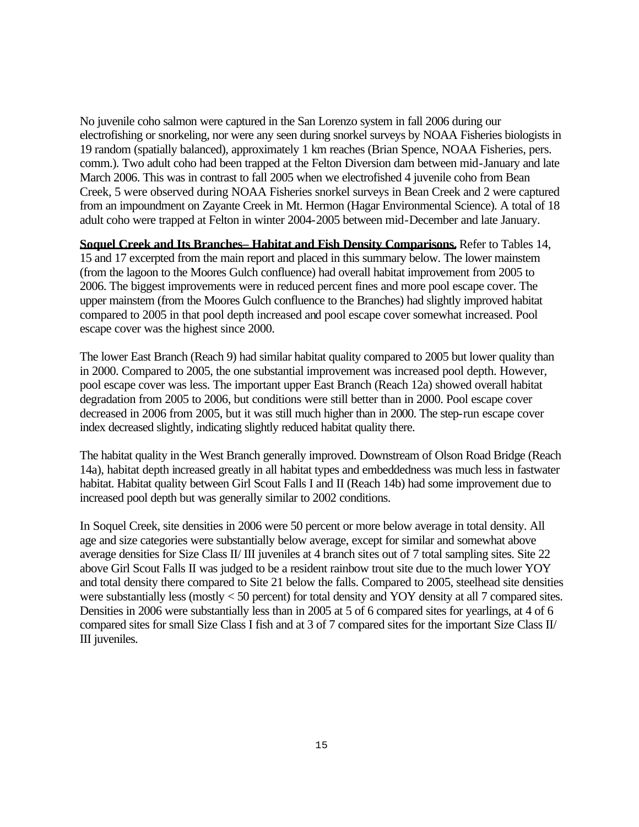No juvenile coho salmon were captured in the San Lorenzo system in fall 2006 during our electrofishing or snorkeling, nor were any seen during snorkel surveys by NOAA Fisheries biologists in 19 random (spatially balanced), approximately 1 km reaches (Brian Spence, NOAA Fisheries, pers. comm.). Two adult coho had been trapped at the Felton Diversion dam between mid-January and late March 2006. This was in contrast to fall 2005 when we electrofished 4 juvenile coho from Bean Creek, 5 were observed during NOAA Fisheries snorkel surveys in Bean Creek and 2 were captured from an impoundment on Zayante Creek in Mt. Hermon (Hagar Environmental Science). A total of 18 adult coho were trapped at Felton in winter 2004-2005 between mid-December and late January.

**Soquel Creek and Its Branches– Habitat and Fish Density Comparisons.** Refer to Tables 14, 15 and 17 excerpted from the main report and placed in this summary below. The lower mainstem (from the lagoon to the Moores Gulch confluence) had overall habitat improvement from 2005 to 2006. The biggest improvements were in reduced percent fines and more pool escape cover. The upper mainstem (from the Moores Gulch confluence to the Branches) had slightly improved habitat compared to 2005 in that pool depth increased and pool escape cover somewhat increased. Pool escape cover was the highest since 2000.

The lower East Branch (Reach 9) had similar habitat quality compared to 2005 but lower quality than in 2000. Compared to 2005, the one substantial improvement was increased pool depth. However, pool escape cover was less. The important upper East Branch (Reach 12a) showed overall habitat degradation from 2005 to 2006, but conditions were still better than in 2000. Pool escape cover decreased in 2006 from 2005, but it was still much higher than in 2000. The step-run escape cover index decreased slightly, indicating slightly reduced habitat quality there.

The habitat quality in the West Branch generally improved. Downstream of Olson Road Bridge (Reach 14a), habitat depth increased greatly in all habitat types and embeddedness was much less in fastwater habitat. Habitat quality between Girl Scout Falls I and II (Reach 14b) had some improvement due to increased pool depth but was generally similar to 2002 conditions.

In Soquel Creek, site densities in 2006 were 50 percent or more below average in total density. All age and size categories were substantially below average, except for similar and somewhat above average densities for Size Class II/ III juveniles at 4 branch sites out of 7 total sampling sites. Site 22 above Girl Scout Falls II was judged to be a resident rainbow trout site due to the much lower YOY and total density there compared to Site 21 below the falls. Compared to 2005, steelhead site densities were substantially less (mostly < 50 percent) for total density and YOY density at all 7 compared sites. Densities in 2006 were substantially less than in 2005 at 5 of 6 compared sites for yearlings, at 4 of 6 compared sites for small Size Class I fish and at 3 of 7 compared sites for the important Size Class II/ III juveniles.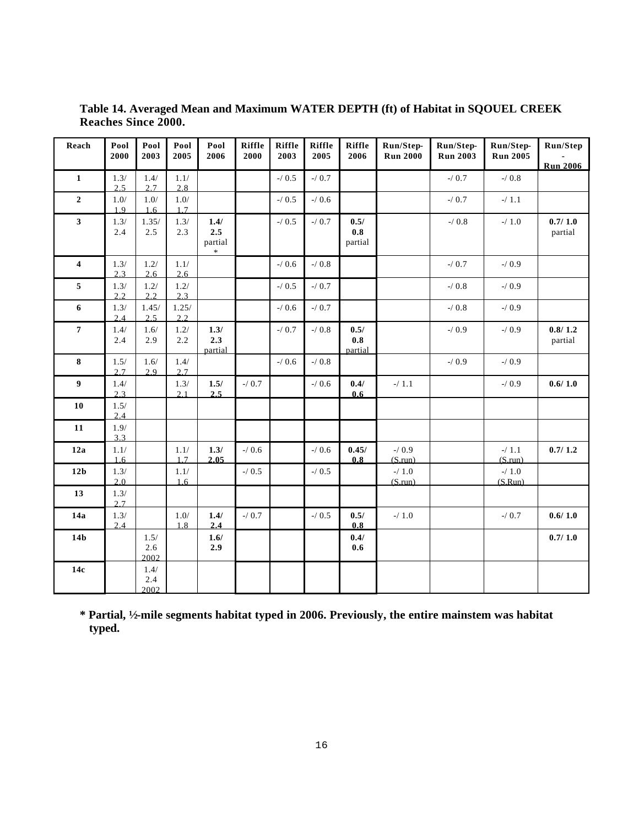| Reach                   | Pool<br>2000  | Pool<br>2003        | Pool<br>2005  | Pool<br>2006                     | Riffle<br>2000 | Riffle<br>2003 | Riffle<br>2005 | Riffle<br>2006         | Run/Step-<br><b>Run 2000</b>    | Run/Step-<br><b>Run 2003</b> | Run/Step-<br><b>Run 2005</b> | Run/Step<br><b>Run 2006</b> |
|-------------------------|---------------|---------------------|---------------|----------------------------------|----------------|----------------|----------------|------------------------|---------------------------------|------------------------------|------------------------------|-----------------------------|
| $\mathbf{1}$            | 1.3/<br>2.5   | 1.4/<br>2.7         | 1.1/<br>2.8   |                                  |                | $-10.5$        | $-10.7$        |                        |                                 | $-10.7$                      | $-10.8$                      |                             |
| $\mathbf 2$             | $1.0/$<br>1.9 | $1.0/$<br>1.6       | $1.0/$<br>1.7 |                                  |                | $-10.5$        | $-10.6$        |                        |                                 | $-10.7$                      | $-1.1$                       |                             |
| 3                       | 1.3/<br>2.4   | 1.35/<br>2.5        | 1.3/<br>2.3   | 1.4/<br>2.5<br>partial<br>$\ast$ |                | $-10.5$        | $-10.7$        | 0.5/<br>0.8<br>partial |                                 | $-10.8$                      | $\sim 1.0$                   | 0.7/1.0<br>partial          |
| $\overline{\mathbf{4}}$ | 1.3/<br>2.3   | 1.2/<br>2.6         | 1.1/<br>2.6   |                                  |                | $-10.6$        | $-10.8$        |                        |                                 | $-10.7$                      | $-10.9$                      |                             |
| 5                       | 1.3/<br>2.2   | 1.2/<br>2.2         | 1.2/<br>2.3   |                                  |                | $-10.5$        | $-10.7$        |                        |                                 | $\sim 0.8$                   | $-10.9$                      |                             |
| 6                       | 1.3/<br>2.4   | 1.45/<br>2.5        | 1.25/<br>2.2  |                                  |                | $-10.6$        | $-10.7$        |                        |                                 | $\sim 0.8$                   | $-10.9$                      |                             |
| $\overline{7}$          | 1.4/<br>2.4   | 1.6/<br>2.9         | 1.2/<br>2.2   | 1.3/<br>2.3<br>partial           |                | $-10.7$        | $-10.8$        | 0.5/<br>0.8<br>partial |                                 | $-10.9$                      | $-10.9$                      | 0.8/1.2<br>partial          |
| 8                       | 1.5/<br>2.7   | 1.6/<br>2.9         | 1.4/<br>2.7   |                                  |                | $-10.6$        | $-10.8$        |                        |                                 | $-10.9$                      | $-10.9$                      |                             |
| $\boldsymbol{9}$        | 1.4/<br>2.3   |                     | 1.3/<br>2.1   | 1.5/<br>2.5                      | $-10.7$        |                | $-10.6$        | 0.4/<br>0.6            | $\mathord{\text{--}}\slash$ 1.1 |                              | $-10.9$                      | 0.6/1.0                     |
| 10                      | 1.5/<br>2.4   |                     |               |                                  |                |                |                |                        |                                 |                              |                              |                             |
| 11                      | 1.9/<br>3.3   |                     |               |                                  |                |                |                |                        |                                 |                              |                              |                             |
| 12a                     | 1.1/<br>1.6   |                     | 1.1/<br>1.7   | 1.3/<br>2.05                     | $-10.6$        |                | $-10.6$        | 0.45/<br>0.8           | $-10.9$<br>(S.run)              |                              | $-1.1$<br>(S.run)            | 0.7/1.2                     |
| 12 <sub>b</sub>         | 1.3/<br>2.0   |                     | 1.1/<br>1.6   |                                  | $-10.5$        |                | $-10.5$        |                        | $-1.0$<br>(S.run)               |                              | $-1.0$<br>(S.Run)            |                             |
| 13                      | 1.3/<br>2.7   |                     |               |                                  |                |                |                |                        |                                 |                              |                              |                             |
| 14a                     | 1.3/<br>2.4   |                     | $1.0/$<br>1.8 | 1.4/<br>2.4                      | $-10.7$        |                | $-10.5$        | 0.5/<br>0.8            | $-1.0$                          |                              | $-10.7$                      | 0.6/1.0                     |
| 14 <sub>b</sub>         |               | 1.5/<br>2.6<br>2002 |               | 1.6/<br>2.9                      |                |                |                | 0.4/<br>0.6            |                                 |                              |                              | 0.7/1.0                     |
| 14c                     |               | 1.4/<br>2.4<br>2002 |               |                                  |                |                |                |                        |                                 |                              |                              |                             |

**Table 14. Averaged Mean and Maximum WATER DEPTH (ft) of Habitat in SQOUEL CREEK Reaches Since 2000.**

**\* Partial, ½-mile segments habitat typed in 2006. Previously, the entire mainstem was habitat typed.**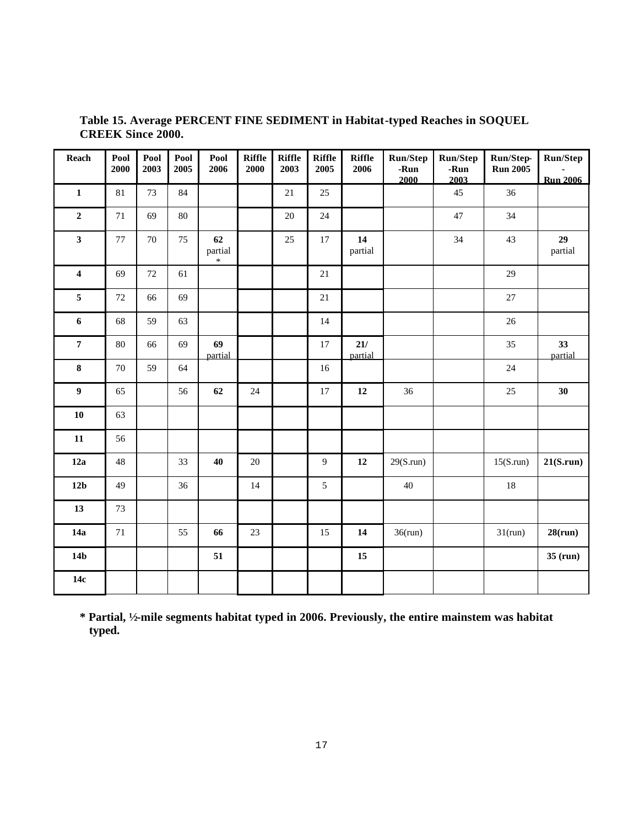| Reach                   | Pool<br>2000 | Pool<br>2003 | Pool<br>2005 | Pool<br>2006            | <b>Riffle</b><br>2000 | <b>Riffle</b><br>2003 | <b>Riffle</b><br>2005 | <b>Riffle</b><br>2006 | <b>Run/Step</b><br>-Run<br>2000 | <b>Run/Step</b><br>-Run<br>2003 | Run/Step-<br><b>Run 2005</b> | <b>Run/Step</b><br><b>Run 2006</b> |
|-------------------------|--------------|--------------|--------------|-------------------------|-----------------------|-----------------------|-----------------------|-----------------------|---------------------------------|---------------------------------|------------------------------|------------------------------------|
| $\mathbf 1$             | 81           | 73           | 84           |                         |                       | 21                    | 25                    |                       |                                 | 45                              | 36                           |                                    |
| $\mathbf 2$             | 71           | 69           | $80\,$       |                         |                       | $20\,$                | 24                    |                       |                                 | 47                              | 34                           |                                    |
| $\mathbf{3}$            | $77\,$       | 70           | 75           | 62<br>partial<br>$\ast$ |                       | 25                    | 17                    | 14<br>partial         |                                 | 34                              | 43                           | 29<br>partial                      |
| $\overline{\mathbf{4}}$ | 69           | 72           | 61           |                         |                       |                       | $21\,$                |                       |                                 |                                 | 29                           |                                    |
| 5                       | 72           | 66           | 69           |                         |                       |                       | 21                    |                       |                                 |                                 | 27                           |                                    |
| $\boldsymbol{6}$        | 68           | 59           | 63           |                         |                       |                       | 14                    |                       |                                 |                                 | 26                           |                                    |
| $\overline{7}$          | 80           | 66           | 69           | 69<br>partial           |                       |                       | 17                    | 21/<br>partial        |                                 |                                 | 35                           | 33<br>partial                      |
| ${\bf 8}$               | 70           | 59           | 64           |                         |                       |                       | 16                    |                       |                                 |                                 | 24                           |                                    |
| $\boldsymbol{9}$        | 65           |              | 56           | 62                      | 24                    |                       | 17                    | 12                    | 36                              |                                 | 25                           | 30                                 |
| 10                      | 63           |              |              |                         |                       |                       |                       |                       |                                 |                                 |                              |                                    |
| ${\bf 11}$              | 56           |              |              |                         |                       |                       |                       |                       |                                 |                                 |                              |                                    |
| 12a                     | 48           |              | 33           | 40                      | 20                    |                       | 9                     | 12                    | 29(S.run)                       |                                 | 15(S.run)                    | 21(S.run)                          |
| 12 <sub>b</sub>         | 49           |              | 36           |                         | 14                    |                       | 5                     |                       | 40                              |                                 | 18                           |                                    |
| 13                      | 73           |              |              |                         |                       |                       |                       |                       |                                 |                                 |                              |                                    |
| 14a                     | 71           |              | 55           | 66                      | 23                    |                       | 15                    | 14                    | $36$ (run)                      |                                 | 31(run)                      | 28(run)                            |
| 14 <sub>b</sub>         |              |              |              | 51                      |                       |                       |                       | 15                    |                                 |                                 |                              | $35$ (run)                         |
| 14c                     |              |              |              |                         |                       |                       |                       |                       |                                 |                                 |                              |                                    |

**Table 15. Average PERCENT FINE SEDIMENT in Habitat-typed Reaches in SOQUEL CREEK Since 2000.**

**\* Partial, ½-mile segments habitat typed in 2006. Previously, the entire mainstem was habitat typed.**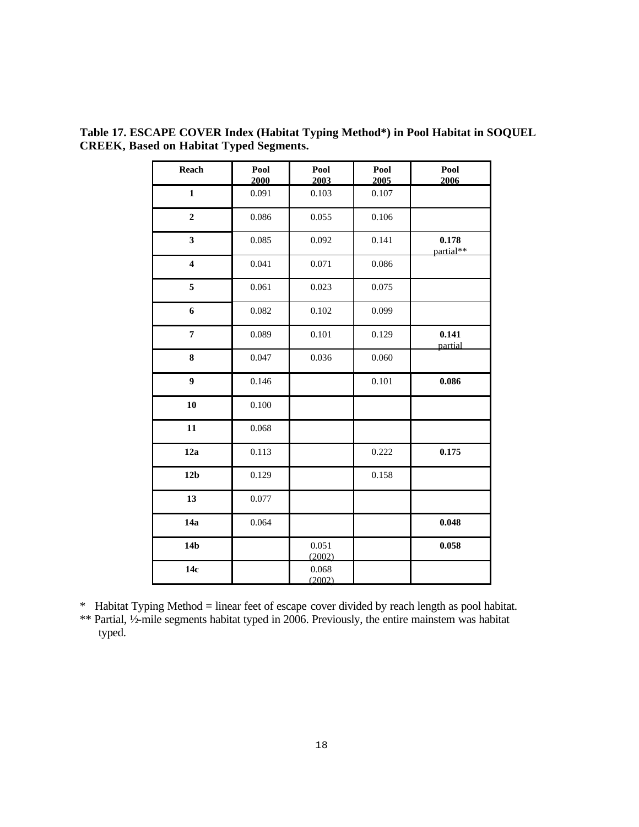| Reach                   | Pool<br>2000 | Pool<br>2003    | Pool<br>2005 | Pool<br>2006       |
|-------------------------|--------------|-----------------|--------------|--------------------|
| $\mathbf{1}$            | 0.091        | 0.103           | 0.107        |                    |
| $\overline{2}$          | 0.086        | 0.055           | 0.106        |                    |
| 3                       | 0.085        | 0.092           | 0.141        | 0.178<br>partial** |
| $\overline{\mathbf{4}}$ | 0.041        | 0.071           | 0.086        |                    |
| 5                       | 0.061        | 0.023           | 0.075        |                    |
| 6                       | 0.082        | 0.102           | 0.099        |                    |
| $\overline{7}$          | 0.089        | 0.101           | 0.129        | 0.141<br>partial   |
| 8                       | 0.047        | 0.036           | 0.060        |                    |
| $\boldsymbol{9}$        | 0.146        |                 | 0.101        | 0.086              |
| 10                      | 0.100        |                 |              |                    |
| 11                      | 0.068        |                 |              |                    |
| 12a                     | 0.113        |                 | 0.222        | 0.175              |
| 12 <sub>b</sub>         | 0.129        |                 | 0.158        |                    |
| 13                      | 0.077        |                 |              |                    |
| 14a                     | 0.064        |                 |              | 0.048              |
| 14 <sub>b</sub>         |              | 0.051<br>(2002) |              | 0.058              |
| 14c                     |              | 0.068<br>(2002) |              |                    |

**Table 17. ESCAPE COVER Index (Habitat Typing Method\*) in Pool Habitat in SOQUEL CREEK, Based on Habitat Typed Segments.**

\* Habitat Typing Method = linear feet of escape cover divided by reach length as pool habitat.

\*\* Partial, ½-mile segments habitat typed in 2006. Previously, the entire mainstem was habitat typed.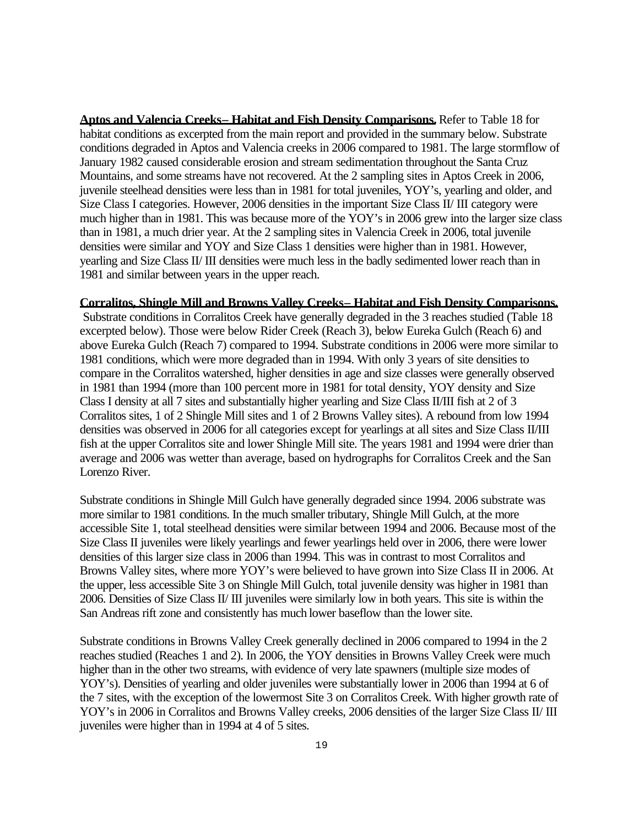**Aptos and Valencia Creeks– Habitat and Fish Density Comparisons.** Refer to Table 18 for habitat conditions as excerpted from the main report and provided in the summary below. Substrate conditions degraded in Aptos and Valencia creeks in 2006 compared to 1981. The large stormflow of January 1982 caused considerable erosion and stream sedimentation throughout the Santa Cruz Mountains, and some streams have not recovered. At the 2 sampling sites in Aptos Creek in 2006, juvenile steelhead densities were less than in 1981 for total juveniles, YOY's, yearling and older, and Size Class I categories. However, 2006 densities in the important Size Class II/ III category were much higher than in 1981. This was because more of the YOY's in 2006 grew into the larger size class than in 1981, a much drier year. At the 2 sampling sites in Valencia Creek in 2006, total juvenile densities were similar and YOY and Size Class 1 densities were higher than in 1981. However, yearling and Size Class II/ III densities were much less in the badly sedimented lower reach than in 1981 and similar between years in the upper reach.

#### **Corralitos, Shingle Mill and Browns Valley Creeks– Habitat and Fish Density Comparisons.**

 Substrate conditions in Corralitos Creek have generally degraded in the 3 reaches studied (Table 18 excerpted below). Those were below Rider Creek (Reach 3), below Eureka Gulch (Reach 6) and above Eureka Gulch (Reach 7) compared to 1994. Substrate conditions in 2006 were more similar to 1981 conditions, which were more degraded than in 1994. With only 3 years of site densities to compare in the Corralitos watershed, higher densities in age and size classes were generally observed in 1981 than 1994 (more than 100 percent more in 1981 for total density, YOY density and Size Class I density at all 7 sites and substantially higher yearling and Size Class II/III fish at 2 of 3 Corralitos sites, 1 of 2 Shingle Mill sites and 1 of 2 Browns Valley sites). A rebound from low 1994 densities was observed in 2006 for all categories except for yearlings at all sites and Size Class II/III fish at the upper Corralitos site and lower Shingle Mill site. The years 1981 and 1994 were drier than average and 2006 was wetter than average, based on hydrographs for Corralitos Creek and the San Lorenzo River.

Substrate conditions in Shingle Mill Gulch have generally degraded since 1994. 2006 substrate was more similar to 1981 conditions. In the much smaller tributary, Shingle Mill Gulch, at the more accessible Site 1, total steelhead densities were similar between 1994 and 2006. Because most of the Size Class II juveniles were likely yearlings and fewer yearlings held over in 2006, there were lower densities of this larger size class in 2006 than 1994. This was in contrast to most Corralitos and Browns Valley sites, where more YOY's were believed to have grown into Size Class II in 2006. At the upper, less accessible Site 3 on Shingle Mill Gulch, total juvenile density was higher in 1981 than 2006. Densities of Size Class II/ III juveniles were similarly low in both years. This site is within the San Andreas rift zone and consistently has much lower baseflow than the lower site.

Substrate conditions in Browns Valley Creek generally declined in 2006 compared to 1994 in the 2 reaches studied (Reaches 1 and 2). In 2006, the YOY densities in Browns Valley Creek were much higher than in the other two streams, with evidence of very late spawners (multiple size modes of YOY's). Densities of yearling and older juveniles were substantially lower in 2006 than 1994 at 6 of the 7 sites, with the exception of the lowermost Site 3 on Corralitos Creek. With higher growth rate of YOY's in 2006 in Corralitos and Browns Valley creeks, 2006 densities of the larger Size Class II/ III juveniles were higher than in 1994 at 4 of 5 sites.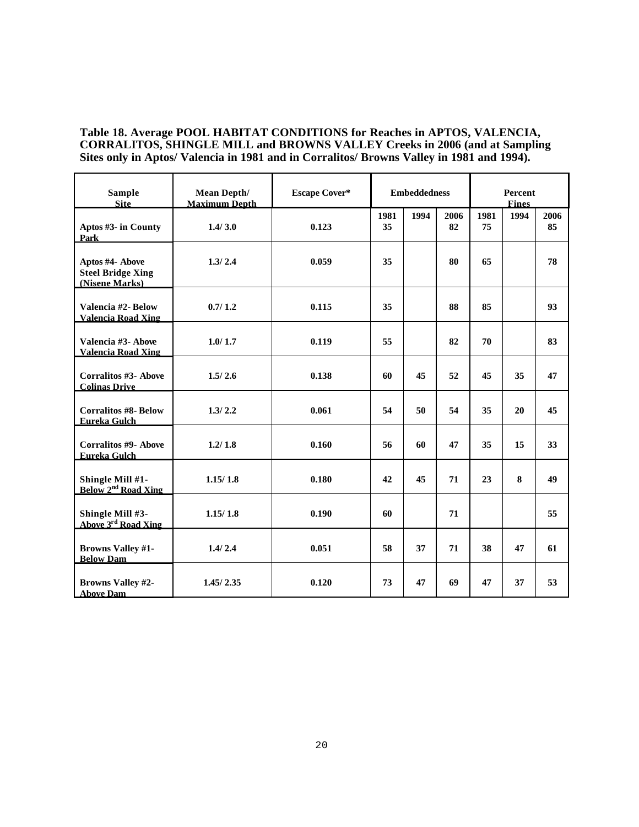#### **Table 18. Average POOL HABITAT CONDITIONS for Reaches in APTOS, VALENCIA, CORRALITOS, SHINGLE MILL and BROWNS VALLEY Creeks in 2006 (and at Sampling Sites only in Aptos/ Valencia in 1981 and in Corralitos/ Browns Valley in 1981 and 1994).**

| <b>Sample</b><br><b>Site</b>                                  | Mean Depth/<br><b>Maximum Depth</b> | <b>Escape Cover*</b> |            | <b>Embeddedness</b> |            |            | Percent<br><b>Fines</b> |            |
|---------------------------------------------------------------|-------------------------------------|----------------------|------------|---------------------|------------|------------|-------------------------|------------|
| Aptos #3- in County<br>Park                                   | 1.4/3.0                             | 0.123                | 1981<br>35 | 1994                | 2006<br>82 | 1981<br>75 | 1994                    | 2006<br>85 |
| Aptos #4- Above<br><b>Steel Bridge Xing</b><br>(Nisene Marks) | 1.3/2.4                             | 0.059                | 35         |                     | 80         | 65         |                         | 78         |
| Valencia #2- Below<br><b>Valencia Road Xing</b>               | 0.7/1.2                             | 0.115                | 35         |                     | 88         | 85         |                         | 93         |
| Valencia #3- Above<br><b>Valencia Road Xing</b>               | 1.0/1.7                             | 0.119                | 55         |                     | 82         | 70         |                         | 83         |
| <b>Corralitos #3- Above</b><br><b>Colinas Drive</b>           | 1.5/2.6                             | 0.138                | 60         | 45                  | 52         | 45         | 35                      | 47         |
| <b>Corralitos #8- Below</b><br><b>Eureka Gulch</b>            | 1.3/2.2                             | 0.061                | 54         | 50                  | 54         | 35         | 20                      | 45         |
| <b>Corralitos #9- Above</b><br><b>Eureka Gulch</b>            | 1.2/1.8                             | 0.160                | 56         | 60                  | 47         | 35         | 15                      | 33         |
| Shingle Mill #1-<br>Below 2 <sup>nd</sup> Road Xing           | 1.15/1.8                            | 0.180                | 42         | 45                  | 71         | 23         | 8                       | 49         |
| Shingle Mill #3-<br>Above 3rd Road Xing                       | 1.15/1.8                            | 0.190                | 60         |                     | 71         |            |                         | 55         |
| <b>Browns Valley #1-</b><br><b>Below Dam</b>                  | 1.4/2.4                             | 0.051                | 58         | 37                  | 71         | 38         | 47                      | 61         |
| <b>Browns Valley #2-</b><br><b>Above Dam</b>                  | 1.45/2.35                           | 0.120                | 73         | 47                  | 69         | 47         | 37                      | 53         |